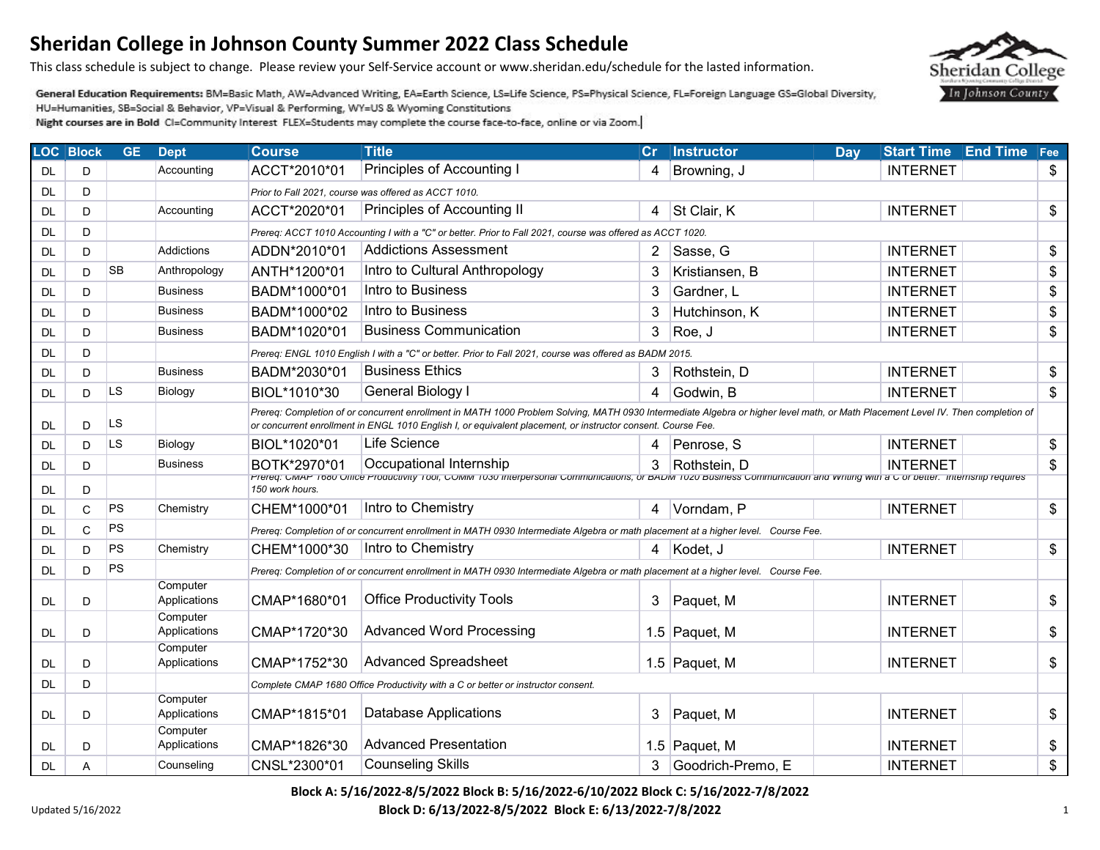This class schedule is subject to change. Please review your Self-Service account or www.sheridan.edu/schedule for the lasted information.

General Education Requirements: BM=Basic Math, AW=Advanced Writing, EA=Earth Science, LS=Life Science, PS=Physical Science, FL=Foreign Language GS=Global Diversity, HU=Humanities, SB=Social & Behavior, VP=Visual & Performing, WY=US & Wyoming Constitutions

Night courses are in Bold CI=Community Interest FLEX=Students may complete the course face-to-face, online or via Zoom.

| <b>LOC Block</b> |   | <b>GE</b> | <b>Dept</b>              | <b>Course</b>                                                                    | <b>Title</b>                                                                                                                                                                                                                                                                                     | cr | <b>Instructor</b> | Day | <b>Start Time</b> | <b>End Time</b> | Fee |
|------------------|---|-----------|--------------------------|----------------------------------------------------------------------------------|--------------------------------------------------------------------------------------------------------------------------------------------------------------------------------------------------------------------------------------------------------------------------------------------------|----|-------------------|-----|-------------------|-----------------|-----|
| DL.              | D |           | Accounting               | ACCT*2010*01                                                                     | Principles of Accounting I                                                                                                                                                                                                                                                                       | 4  | Browning, J       |     | <b>INTERNET</b>   |                 | \$  |
| <b>DL</b>        | D |           |                          |                                                                                  | Prior to Fall 2021, course was offered as ACCT 1010.                                                                                                                                                                                                                                             |    |                   |     |                   |                 |     |
| <b>DL</b>        | D |           | Accounting               | ACCT*2020*01                                                                     | Principles of Accounting II                                                                                                                                                                                                                                                                      | 4  | St Clair, K       |     | <b>INTERNET</b>   |                 | \$  |
| <b>DL</b>        | D |           |                          |                                                                                  | Prereq: ACCT 1010 Accounting I with a "C" or better. Prior to Fall 2021, course was offered as ACCT 1020.                                                                                                                                                                                        |    |                   |     |                   |                 |     |
| <b>DL</b>        | D |           | Addictions               | ADDN*2010*01                                                                     | <b>Addictions Assessment</b>                                                                                                                                                                                                                                                                     | 2  | Sasse, G          |     | <b>INTERNET</b>   |                 | \$  |
| <b>DL</b>        | D | <b>SB</b> | Anthropology             | ANTH*1200*01                                                                     | Intro to Cultural Anthropology                                                                                                                                                                                                                                                                   | 3  | Kristiansen, B    |     | <b>INTERNET</b>   |                 | \$  |
| DL               | D |           | Business                 | BADM*1000*01                                                                     | Intro to Business                                                                                                                                                                                                                                                                                | 3  | Gardner, L        |     | <b>INTERNET</b>   |                 | \$  |
| <b>DL</b>        | D |           | <b>Business</b>          | BADM*1000*02                                                                     | Intro to Business                                                                                                                                                                                                                                                                                | 3  | Hutchinson, K     |     | <b>INTERNET</b>   |                 | \$  |
| <b>DL</b>        | D |           | <b>Business</b>          | BADM*1020*01                                                                     | <b>Business Communication</b>                                                                                                                                                                                                                                                                    | 3  | Roe, J            |     | <b>INTERNET</b>   |                 | \$  |
| <b>DL</b>        | D |           |                          |                                                                                  | Prereq: ENGL 1010 English I with a "C" or better. Prior to Fall 2021, course was offered as BADM 2015.                                                                                                                                                                                           |    |                   |     |                   |                 |     |
| <b>DL</b>        | D |           | <b>Business</b>          | BADM*2030*01                                                                     | <b>Business Ethics</b>                                                                                                                                                                                                                                                                           | 3  | Rothstein, D      |     | <b>INTERNET</b>   |                 | \$  |
| <b>DL</b>        | D | LS        | Biology                  | BIOL*1010*30                                                                     | General Biology I                                                                                                                                                                                                                                                                                | 4  | Godwin, B         |     | <b>INTERNET</b>   |                 | \$  |
| <b>DL</b>        | D | LS        |                          |                                                                                  | Prereq: Completion of or concurrent enrollment in MATH 1000 Problem Solving, MATH 0930 Intermediate Algebra or higher level math, or Math Placement Level IV. Then completion of<br>or concurrent enrollment in ENGL 1010 English I, or equivalent placement, or instructor consent. Course Fee. |    |                   |     |                   |                 |     |
| DL               | D | LS.       | Biology                  | BIOL*1020*01                                                                     | Life Science                                                                                                                                                                                                                                                                                     | 4  | Penrose, S        |     | <b>INTERNET</b>   |                 | \$  |
| <b>DL</b>        | D |           | <b>Business</b>          | BOTK*2970*01                                                                     | Occupational Internship                                                                                                                                                                                                                                                                          | 3  | Rothstein, D      |     | <b>INTERNET</b>   |                 | \$  |
| <b>DL</b>        | D |           |                          | 150 work hours.                                                                  | Prereq: СМАР 1680 Отсе Productivity 1001, СОММ 1030 interpersonal Communications, or BADM 1020 Business Communication and Writing with a C or better. Internship requires                                                                                                                        |    |                   |     |                   |                 |     |
| <b>DL</b>        | C | PS        | Chemistry                | CHEM*1000*01                                                                     | Intro to Chemistry                                                                                                                                                                                                                                                                               | 4  | Vorndam, P        |     | <b>INTERNET</b>   |                 | \$  |
| <b>DL</b>        | C | PS        |                          |                                                                                  | Prereq: Completion of or concurrent enrollment in MATH 0930 Intermediate Algebra or math placement at a higher level. Course Fee.                                                                                                                                                                |    |                   |     |                   |                 |     |
| DL               | D | PS        | Chemistry                | CHEM*1000*30                                                                     | Intro to Chemistry                                                                                                                                                                                                                                                                               | 4  | Kodet, J          |     | <b>INTERNET</b>   |                 | \$  |
| <b>DL</b>        | D | PS        |                          |                                                                                  | Prereq: Completion of or concurrent enrollment in MATH 0930 Intermediate Algebra or math placement at a higher level. Course Fee.                                                                                                                                                                |    |                   |     |                   |                 |     |
| <b>DL</b>        | D |           | Computer<br>Applications | CMAP*1680*01                                                                     | <b>Office Productivity Tools</b>                                                                                                                                                                                                                                                                 | 3  | Paquet, M         |     | <b>INTERNET</b>   |                 | \$  |
| DL               | D |           | Computer<br>Applications | CMAP*1720*30                                                                     | <b>Advanced Word Processing</b>                                                                                                                                                                                                                                                                  |    | 1.5 Paquet, M     |     | <b>INTERNET</b>   |                 | \$  |
| <b>DL</b>        | D |           | Computer<br>Applications | CMAP*1752*30                                                                     | <b>Advanced Spreadsheet</b>                                                                                                                                                                                                                                                                      |    | 1.5 Paquet, M     |     | <b>INTERNET</b>   |                 | \$  |
| <b>DL</b>        | D |           |                          | Complete CMAP 1680 Office Productivity with a C or better or instructor consent. |                                                                                                                                                                                                                                                                                                  |    |                   |     |                   |                 |     |
| <b>DL</b>        | D |           | Computer<br>Applications | CMAP*1815*01                                                                     | <b>Database Applications</b>                                                                                                                                                                                                                                                                     | 3  | Paquet, M         |     | <b>INTERNET</b>   |                 | \$  |
| DL               | D |           | Computer<br>Applications | CMAP*1826*30                                                                     | <b>Advanced Presentation</b>                                                                                                                                                                                                                                                                     |    | 1.5 Paquet, M     |     | <b>INTERNET</b>   |                 | \$  |
| <b>DL</b>        | A |           | Counseling               | CNSL*2300*01                                                                     | <b>Counseling Skills</b>                                                                                                                                                                                                                                                                         | 3  | Goodrich-Premo. E |     | <b>INTERNET</b>   |                 | \$  |

**Block A: 5/16/2022-8/5/2022 Block B: 5/16/2022-6/10/2022 Block C: 5/16/2022-7/8/2022** 

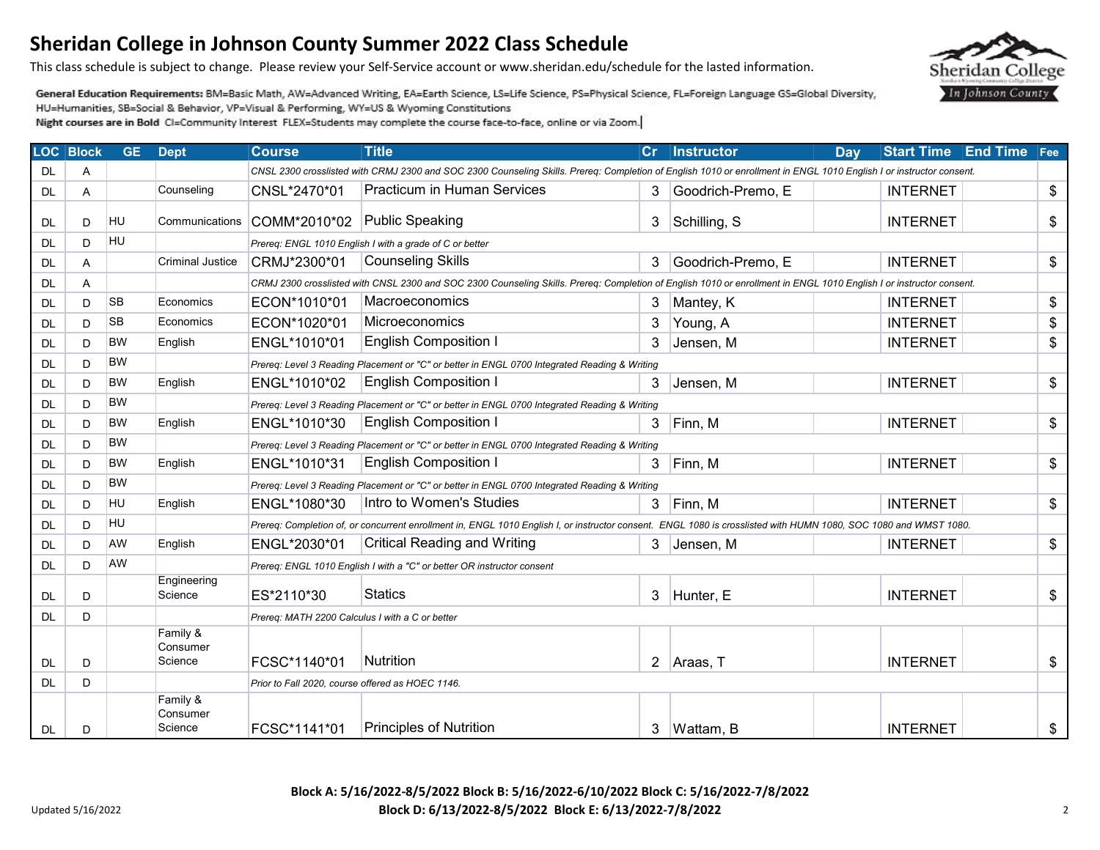This class schedule is subject to change. Please review your Self-Service account or www.sheridan.edu/schedule for the lasted information.

General Education Requirements: BM=Basic Math, AW=Advanced Writing, EA=Earth Science, LS=Life Science, PS=Physical Science, FL=Foreign Language GS=Global Diversity, HU=Humanities, SB=Social & Behavior, VP=Visual & Performing, WY=US & Wyoming Constitutions

|           | <b>LOC</b> Block | <b>GE</b> | <b>Dept</b>                     | <b>Course</b>                                    | <b>Title</b>                                                                                                                                                        | Cr             | Instructor        | Day | <b>Start Time</b> | <b>End Time</b> Fee |    |
|-----------|------------------|-----------|---------------------------------|--------------------------------------------------|---------------------------------------------------------------------------------------------------------------------------------------------------------------------|----------------|-------------------|-----|-------------------|---------------------|----|
| DL.       | Α                |           |                                 |                                                  | CNSL 2300 crosslisted with CRMJ 2300 and SOC 2300 Counseling Skills. Prereq: Completion of English 1010 or enrollment in ENGL 1010 English I or instructor consent. |                |                   |     |                   |                     |    |
| DL.       | Α                |           | Counseling                      | CNSL*2470*01                                     | <b>Practicum in Human Services</b>                                                                                                                                  | 3              | Goodrich-Premo, E |     | <b>INTERNET</b>   |                     | \$ |
| DL        | D                | HU        | Communications                  | COMM*2010*02                                     | Public Speaking                                                                                                                                                     | 3              | Schilling, S      |     | <b>INTERNET</b>   |                     | \$ |
| DL.       | D                | HU        |                                 |                                                  | Prereq: ENGL 1010 English I with a grade of C or better                                                                                                             |                |                   |     |                   |                     |    |
| DL.       | A                |           | <b>Criminal Justice</b>         | CRMJ*2300*01                                     | <b>Counseling Skills</b>                                                                                                                                            | 3              | Goodrich-Premo, E |     | <b>INTERNET</b>   |                     | \$ |
| <b>DL</b> | Α                |           |                                 |                                                  | CRMJ 2300 crosslisted with CNSL 2300 and SOC 2300 Counseling Skills. Prereq: Completion of English 1010 or enrollment in ENGL 1010 English I or instructor consent. |                |                   |     |                   |                     |    |
| DL.       | D                | <b>SB</b> | Economics                       | ECON*1010*01                                     | Macroeconomics                                                                                                                                                      | 3              | Mantey, K         |     | <b>INTERNET</b>   |                     | \$ |
| <b>DL</b> | D                | <b>SB</b> | Economics                       | ECON*1020*01                                     | Microeconomics                                                                                                                                                      | 3              | Young, A          |     | <b>INTERNET</b>   |                     | \$ |
| DL        | D.               | <b>BW</b> | English                         | ENGL*1010*01                                     | <b>English Composition I</b>                                                                                                                                        | 3              | Jensen, M         |     | <b>INTERNET</b>   |                     | \$ |
| DL.       | D                | <b>BW</b> |                                 |                                                  | Prereq: Level 3 Reading Placement or "C" or better in ENGL 0700 Integrated Reading & Writing                                                                        |                |                   |     |                   |                     |    |
| DL        | D                | <b>BW</b> | English                         | ENGL*1010*02                                     | <b>English Composition I</b>                                                                                                                                        | 3              | Jensen, M         |     | <b>INTERNET</b>   |                     | \$ |
| DL.       | D                | <b>BW</b> |                                 |                                                  | Prereq: Level 3 Reading Placement or "C" or better in ENGL 0700 Integrated Reading & Writing                                                                        |                |                   |     |                   |                     |    |
| DL.       | D                | <b>BW</b> | English                         | ENGL*1010*30                                     | <b>English Composition I</b>                                                                                                                                        | 3              | Finn, M           |     | <b>INTERNET</b>   |                     | \$ |
| DL.       | D                | <b>BW</b> |                                 |                                                  | Prereq: Level 3 Reading Placement or "C" or better in ENGL 0700 Integrated Reading & Writing                                                                        |                |                   |     |                   |                     |    |
| DL.       | D                | <b>BW</b> | English                         | ENGL*1010*31                                     | <b>English Composition I</b>                                                                                                                                        | 3              | Finn, M           |     | <b>INTERNET</b>   |                     | \$ |
| DL        | D                | <b>BW</b> |                                 |                                                  | Prereq: Level 3 Reading Placement or "C" or better in ENGL 0700 Integrated Reading & Writing                                                                        |                |                   |     |                   |                     |    |
| <b>DL</b> | D                | HU        | English                         | ENGL*1080*30                                     | Intro to Women's Studies                                                                                                                                            | 3              | Finn, M           |     | <b>INTERNET</b>   |                     | \$ |
| DL.       | D                | HU        |                                 |                                                  | Prereq: Completion of, or concurrent enrollment in, ENGL 1010 English I, or instructor consent. ENGL 1080 is crosslisted with HUMN 1080, SOC 1080 and WMST 1080.    |                |                   |     |                   |                     |    |
| DL        | D                | AW        | English                         | ENGL*2030*01                                     | <b>Critical Reading and Writing</b>                                                                                                                                 | 3              | Jensen, M         |     | <b>INTERNET</b>   |                     | \$ |
| <b>DL</b> | D                | AW        |                                 |                                                  | Prereg: ENGL 1010 English I with a "C" or better OR instructor consent                                                                                              |                |                   |     |                   |                     |    |
| DL        | D                |           | Engineering<br>Science          | ES*2110*30                                       | Statics                                                                                                                                                             | 3              | Hunter, E         |     | <b>INTERNET</b>   |                     | \$ |
| <b>DL</b> | D                |           |                                 | Prereq: MATH 2200 Calculus I with a C or better  |                                                                                                                                                                     |                |                   |     |                   |                     |    |
|           |                  |           | Family &<br>Consumer<br>Science |                                                  | Nutrition                                                                                                                                                           |                |                   |     |                   |                     |    |
| DL.       | D                |           |                                 | FCSC*1140*01                                     |                                                                                                                                                                     | $\overline{2}$ | Araas, T          |     | <b>INTERNET</b>   |                     | \$ |
| DL.       | D                |           | Family &                        | Prior to Fall 2020, course offered as HOEC 1146. |                                                                                                                                                                     |                |                   |     |                   |                     |    |
| <b>DL</b> | D                |           | Consumer<br>Science             | FCSC*1141*01                                     | <b>Principles of Nutrition</b>                                                                                                                                      | 3              | Wattam, B         |     | <b>INTERNET</b>   |                     | \$ |

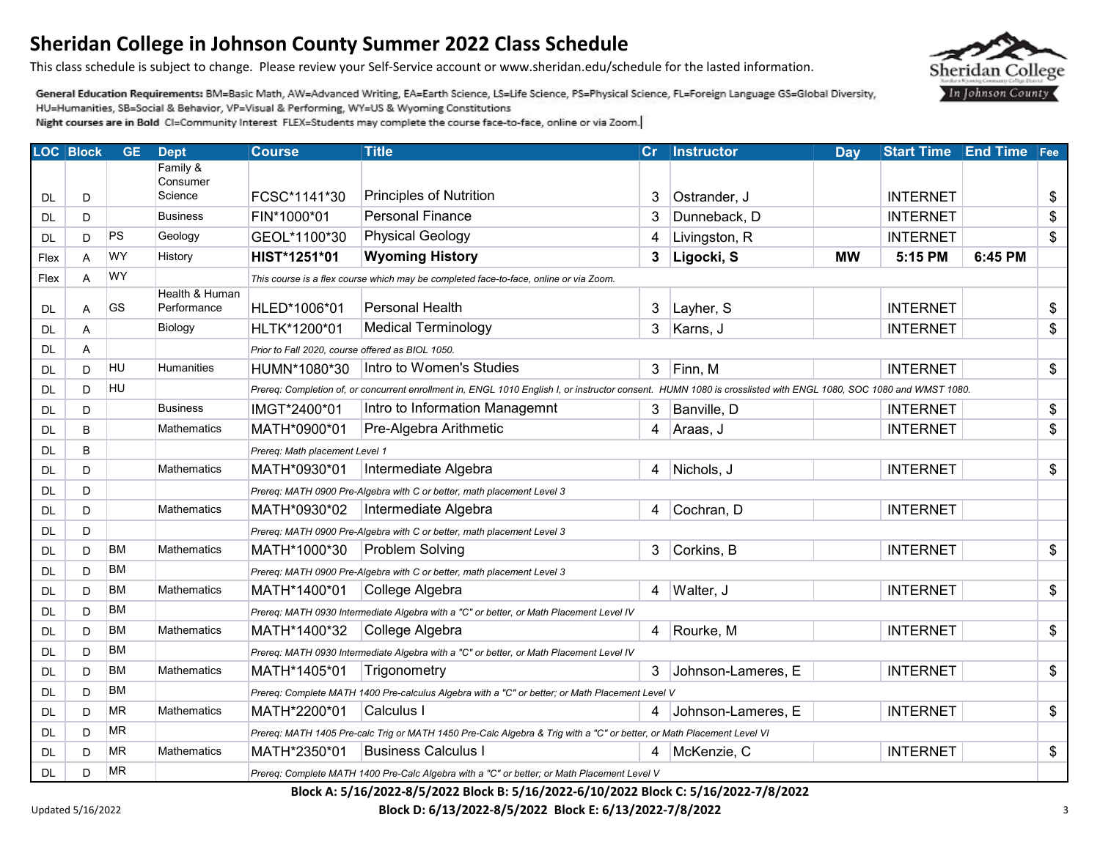This class schedule is subject to change. Please review your Self-Service account or www.sheridan.edu/schedule for the lasted information.

General Education Requirements: BM=Basic Math, AW=Advanced Writing, EA=Earth Science, LS=Life Science, PS=Physical Science, FL=Foreign Language GS=Global Diversity, HU=Humanities, SB=Social & Behavior, VP=Visual & Performing, WY=US & Wyoming Constitutions

Night courses are in Bold CI=Community Interest FLEX=Students may complete the course face-to-face, online or via Zoom.

|           | <b>LOC Block</b> | <b>GE</b> | <b>Dept</b>                   | <b>Course</b>                                    | <b>Title</b>                                                                                                                                                     | Cr | <b>Instructor</b>  | Day       | <b>Start Time</b> | <b>End Time</b> Fee |    |
|-----------|------------------|-----------|-------------------------------|--------------------------------------------------|------------------------------------------------------------------------------------------------------------------------------------------------------------------|----|--------------------|-----------|-------------------|---------------------|----|
|           |                  |           | Family &<br>Consumer          |                                                  |                                                                                                                                                                  |    |                    |           |                   |                     |    |
| <b>DL</b> | D                |           | Science                       | FCSC*1141*30                                     | <b>Principles of Nutrition</b>                                                                                                                                   | 3  | Ostrander, J       |           | <b>INTERNET</b>   |                     | \$ |
| <b>DL</b> | D                |           | <b>Business</b>               | FIN*1000*01                                      | <b>Personal Finance</b>                                                                                                                                          | 3  | Dunneback, D       |           | <b>INTERNET</b>   |                     | \$ |
| DL        | D                | PS        | Geology                       | GEOL*1100*30                                     | <b>Physical Geology</b>                                                                                                                                          | 4  | Livingston, R      |           | <b>INTERNET</b>   |                     | \$ |
| Flex      | A                | WY        | History                       | HIST*1251*01                                     | <b>Wyoming History</b>                                                                                                                                           | 3  | Ligocki, S         | <b>MW</b> | 5:15 PM           | 6:45 PM             |    |
| Flex      | Α                | WY        |                               |                                                  | This course is a flex course which may be completed face-to-face, online or via Zoom.                                                                            |    |                    |           |                   |                     |    |
| DL        | A                | GS        | Health & Human<br>Performance | HLED*1006*01                                     | Personal Health                                                                                                                                                  | 3  | Layher, S          |           | <b>INTERNET</b>   |                     | \$ |
| <b>DL</b> | A                |           | Biology                       | HLTK*1200*01                                     | <b>Medical Terminology</b>                                                                                                                                       | 3  | Karns, J           |           | <b>INTERNET</b>   |                     | \$ |
| <b>DL</b> | A                |           |                               | Prior to Fall 2020, course offered as BIOL 1050. |                                                                                                                                                                  |    |                    |           |                   |                     |    |
| <b>DL</b> | D                | HU        | <b>Humanities</b>             | HUMN*1080*30                                     | Intro to Women's Studies                                                                                                                                         | 3  | Finn, M            |           | <b>INTERNET</b>   |                     | \$ |
| <b>DL</b> | D                | <b>HU</b> |                               |                                                  | Prereq: Completion of, or concurrent enrollment in, ENGL 1010 English I, or instructor consent. HUMN 1080 is crosslisted with ENGL 1080, SOC 1080 and WMST 1080. |    |                    |           |                   |                     |    |
| <b>DL</b> | D                |           | <b>Business</b>               | IMGT*2400*01                                     | Intro to Information Managemnt                                                                                                                                   | 3  | Banville, D        |           | <b>INTERNET</b>   |                     | \$ |
| <b>DL</b> | B                |           | <b>Mathematics</b>            | MATH*0900*01                                     | Pre-Algebra Arithmetic                                                                                                                                           | 4  | Araas, J           |           | <b>INTERNET</b>   |                     | \$ |
| <b>DL</b> | B                |           |                               | Prereq: Math placement Level 1                   |                                                                                                                                                                  |    |                    |           |                   |                     |    |
| <b>DL</b> | D                |           | <b>Mathematics</b>            | MATH*0930*01                                     | Intermediate Algebra                                                                                                                                             | 4  | Nichols, J         |           | <b>INTERNET</b>   |                     | \$ |
| <b>DL</b> | D                |           |                               |                                                  | Prereg: MATH 0900 Pre-Algebra with C or better, math placement Level 3                                                                                           |    |                    |           |                   |                     |    |
| <b>DL</b> | D                |           | Mathematics                   | MATH*0930*02                                     | Intermediate Algebra                                                                                                                                             | 4  | Cochran, D         |           | <b>INTERNET</b>   |                     |    |
| <b>DL</b> | D                |           |                               |                                                  | Prereg: MATH 0900 Pre-Algebra with C or better, math placement Level 3                                                                                           |    |                    |           |                   |                     |    |
| <b>DL</b> | D                | <b>BM</b> | <b>Mathematics</b>            | MATH*1000*30                                     | <b>Problem Solving</b>                                                                                                                                           | 3  | Corkins, B         |           | <b>INTERNET</b>   |                     | \$ |
| DL        | D                | <b>BM</b> |                               |                                                  | Prereq: MATH 0900 Pre-Algebra with C or better, math placement Level 3                                                                                           |    |                    |           |                   |                     |    |
| <b>DL</b> | D                | ВM        | Mathematics                   | MATH*1400*01                                     | College Algebra                                                                                                                                                  | 4  | Walter, J          |           | <b>INTERNET</b>   |                     | \$ |
| <b>DL</b> | D                | <b>BM</b> |                               |                                                  | Prereq: MATH 0930 Intermediate Algebra with a "C" or better, or Math Placement Level IV                                                                          |    |                    |           |                   |                     |    |
| <b>DL</b> | D                | <b>BM</b> | Mathematics                   | MATH*1400*32                                     | College Algebra                                                                                                                                                  | 4  | Rourke, M          |           | <b>INTERNET</b>   |                     | \$ |
| <b>DL</b> | D                | <b>BM</b> |                               |                                                  | Prereq: MATH 0930 Intermediate Algebra with a "C" or better, or Math Placement Level IV                                                                          |    |                    |           |                   |                     |    |
| <b>DL</b> | D                | BM        | <b>Mathematics</b>            | MATH*1405*01                                     | Trigonometry                                                                                                                                                     | 3  | Johnson-Lameres, E |           | <b>INTERNET</b>   |                     | \$ |
| <b>DL</b> | D                | <b>BM</b> |                               |                                                  | Prereq: Complete MATH 1400 Pre-calculus Algebra with a "C" or better; or Math Placement Level V                                                                  |    |                    |           |                   |                     |    |
| <b>DL</b> | D                | ΜR        | Mathematics                   | MATH*2200*01                                     | Calculus I                                                                                                                                                       | 4  | Johnson-Lameres, E |           | <b>INTERNET</b>   |                     | \$ |
| DL        | D                | <b>MR</b> |                               |                                                  | Prereq: MATH 1405 Pre-calc Trig or MATH 1450 Pre-Calc Algebra & Trig with a "C" or better, or Math Placement Level VI                                            |    |                    |           |                   |                     |    |
| <b>DL</b> | D                | <b>MR</b> | Mathematics                   | MATH*2350*01                                     | <b>Business Calculus I</b>                                                                                                                                       |    | McKenzie, C        |           | <b>INTERNET</b>   |                     | \$ |
| <b>DL</b> | D                | <b>MR</b> |                               |                                                  | Prereq: Complete MATH 1400 Pre-Calc Algebra with a "C" or better; or Math Placement Level V                                                                      |    |                    |           |                   |                     |    |

**Block A: 5/16/2022-8/5/2022 Block B: 5/16/2022-6/10/2022 Block C: 5/16/2022-7/8/2022** 

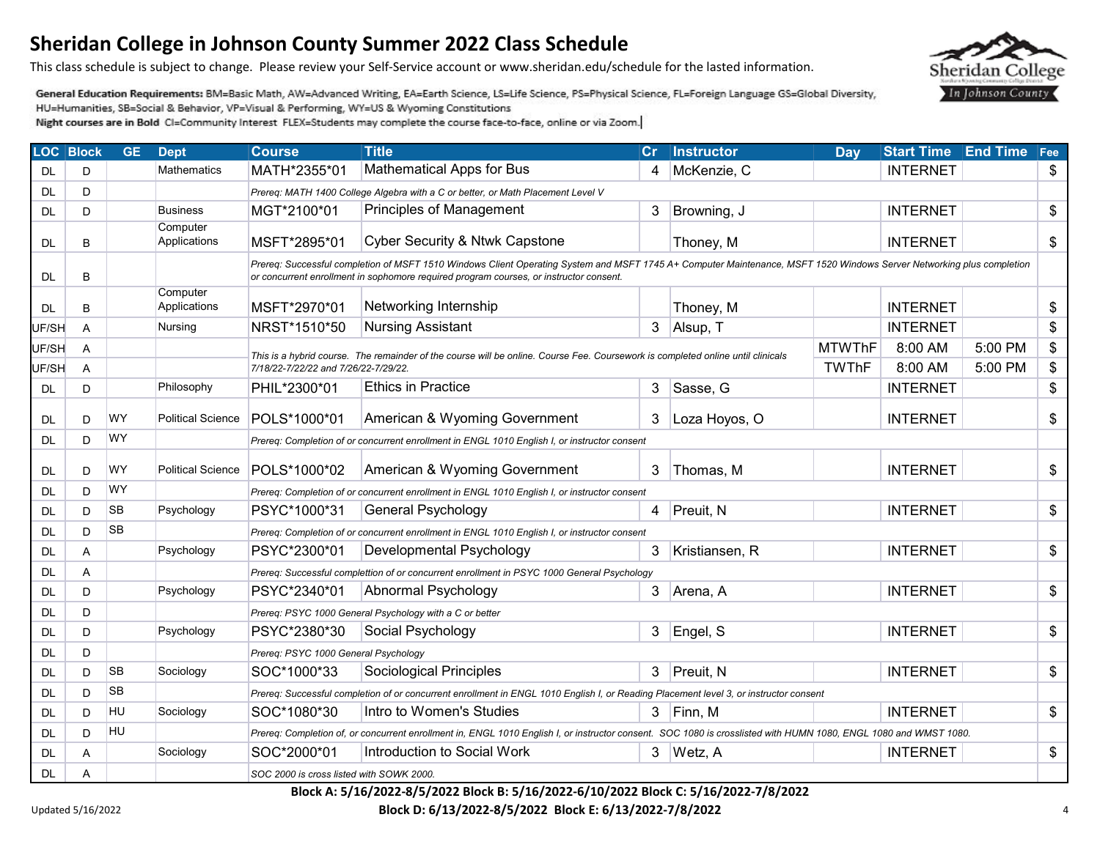This class schedule is subject to change. Please review your Self-Service account or www.sheridan.edu/schedule for the lasted information.

General Education Requirements: BM=Basic Math, AW=Advanced Writing, EA=Earth Science, LS=Life Science, PS=Physical Science, FL=Foreign Language GS=Global Diversity, HU=Humanities, SB=Social & Behavior, VP=Visual & Performing, WY=US & Wyoming Constitutions

Night courses are in Bold CI=Community Interest FLEX=Students may complete the course face-to-face, online or via Zoom.

|           | <b>LOC Block</b> | <b>GE</b> | <b>Dept</b>              | <b>Course</b>                            | <b>Title</b>                                                                                                                                                                                                                                                    | Cr             | Instructor     | Day           | <b>Start Time</b> | <b>End Time</b> | $ $ Fee |  |  |
|-----------|------------------|-----------|--------------------------|------------------------------------------|-----------------------------------------------------------------------------------------------------------------------------------------------------------------------------------------------------------------------------------------------------------------|----------------|----------------|---------------|-------------------|-----------------|---------|--|--|
| DL        | D                |           | Mathematics              | MATH*2355*01                             | <b>Mathematical Apps for Bus</b>                                                                                                                                                                                                                                | 4              | McKenzie, C    |               | <b>INTERNET</b>   |                 | \$      |  |  |
| DL        | D                |           |                          |                                          | Prereq: MATH 1400 College Algebra with a C or better, or Math Placement Level V                                                                                                                                                                                 |                |                |               |                   |                 |         |  |  |
| <b>DL</b> | D                |           | <b>Business</b>          | MGT*2100*01                              | <b>Principles of Management</b>                                                                                                                                                                                                                                 | 3              | Browning, J    |               | <b>INTERNET</b>   |                 | \$      |  |  |
| <b>DL</b> | B                |           | Computer<br>Applications | MSFT*2895*01                             | Cyber Security & Ntwk Capstone                                                                                                                                                                                                                                  |                | Thoney, M      |               | <b>INTERNET</b>   |                 | \$      |  |  |
| DL        | B                |           |                          |                                          | Prereq: Successful completion of MSFT 1510 Windows Client Operating System and MSFT 1745 A+ Computer Maintenance, MSFT 1520 Windows Server Networking plus completion<br>or concurrent enrollment in sophomore required program courses, or instructor consent. |                |                |               |                   |                 |         |  |  |
| DL        | B                |           | Computer<br>Applications | MSFT*2970*01                             | Networking Internship                                                                                                                                                                                                                                           |                | Thoney, M      |               | <b>INTERNET</b>   |                 | \$      |  |  |
| UF/SH     | A                |           | Nursing                  | NRST*1510*50                             | Nursing Assistant                                                                                                                                                                                                                                               | 3 <sup>1</sup> | Alsup, T       |               | <b>INTERNET</b>   |                 | \$      |  |  |
| UF/SH     | A                |           |                          |                                          |                                                                                                                                                                                                                                                                 |                |                | <b>MTWThF</b> | 8:00 AM           | 5:00 PM         | \$      |  |  |
| UF/SH     | A                |           |                          | 7/18/22-7/22/22 and 7/26/22-7/29/22.     | This is a hybrid course. The remainder of the course will be online. Course Fee. Coursework is completed online until clinicals                                                                                                                                 |                |                | <b>TWThF</b>  | 8:00 AM           | 5:00 PM         | \$      |  |  |
| DL        | D                |           | Philosophy               | PHIL*2300*01                             | <b>Ethics in Practice</b>                                                                                                                                                                                                                                       | 3              | Sasse, G       |               | <b>INTERNET</b>   |                 | \$      |  |  |
| DL.       | D                | WY        | <b>Political Science</b> | POLS*1000*01                             | American & Wyoming Government                                                                                                                                                                                                                                   | 3              | Loza Hoyos, O  |               | <b>INTERNET</b>   |                 | \$      |  |  |
| DL.       | D                | WY        |                          |                                          | Prereq: Completion of or concurrent enrollment in ENGL 1010 English I, or instructor consent                                                                                                                                                                    |                |                |               |                   |                 |         |  |  |
| <b>DL</b> | D                | WY        | <b>Political Science</b> | POLS*1000*02                             | American & Wyoming Government                                                                                                                                                                                                                                   | 3              | Thomas, M      |               | <b>INTERNET</b>   |                 | \$      |  |  |
| DL.       | D                | WY        |                          |                                          | Prereq: Completion of or concurrent enrollment in ENGL 1010 English I, or instructor consent                                                                                                                                                                    |                |                |               |                   |                 |         |  |  |
| <b>DL</b> | D                | <b>SB</b> | Psychology               | PSYC*1000*31                             | <b>General Psychology</b>                                                                                                                                                                                                                                       | 4              | Preuit, N      |               | <b>INTERNET</b>   |                 | \$      |  |  |
| <b>DL</b> | D                | <b>SB</b> |                          |                                          | Prereq: Completion of or concurrent enrollment in ENGL 1010 English I, or instructor consent                                                                                                                                                                    |                |                |               |                   |                 |         |  |  |
| <b>DL</b> | Α                |           | Psychology               | PSYC*2300*01                             | Developmental Psychology                                                                                                                                                                                                                                        | 3              | Kristiansen, R |               | <b>INTERNET</b>   |                 | \$      |  |  |
| <b>DL</b> | Α                |           |                          |                                          | Prereq: Successful complettion of or concurrent enrollment in PSYC 1000 General Psychology                                                                                                                                                                      |                |                |               |                   |                 |         |  |  |
| <b>DL</b> | D                |           | Psychology               | PSYC*2340*01                             | Abnormal Psychology                                                                                                                                                                                                                                             | 3              | Arena, A       |               | <b>INTERNET</b>   |                 | \$      |  |  |
| <b>DL</b> | D                |           |                          |                                          | Prereq: PSYC 1000 General Psychology with a C or better                                                                                                                                                                                                         |                |                |               |                   |                 |         |  |  |
| <b>DL</b> | D                |           | Psychology               | PSYC*2380*30                             | Social Psychology                                                                                                                                                                                                                                               | 3 <sup>1</sup> | Engel, S       |               | <b>INTERNET</b>   |                 | \$      |  |  |
| DL        | D                |           |                          | Prereq: PSYC 1000 General Psychology     |                                                                                                                                                                                                                                                                 |                |                |               |                   |                 |         |  |  |
| <b>DL</b> | D                | <b>SB</b> | Sociology                | SOC*1000*33                              | Sociological Principles                                                                                                                                                                                                                                         | 3              | Preuit, N      |               | <b>INTERNET</b>   |                 | \$      |  |  |
| DL        | D                | <b>SB</b> |                          |                                          | Prereq: Successful completion of or concurrent enrollment in ENGL 1010 English I, or Reading Placement level 3, or instructor consent                                                                                                                           |                |                |               |                   |                 |         |  |  |
| DL        | D                | HU        | Sociology                | SOC*1080*30                              | Intro to Women's Studies                                                                                                                                                                                                                                        | 3              | Finn, M        |               | <b>INTERNET</b>   |                 | \$      |  |  |
| <b>DL</b> | D                | HU        |                          |                                          | Prereq: Completion of, or concurrent enrollment in, ENGL 1010 English I, or instructor consent. SOC 1080 is crosslisted with HUMN 1080, ENGL 1080 and WMST 1080.                                                                                                |                |                |               |                   |                 |         |  |  |
| DL        | A                |           | Sociology                | SOC*2000*01                              | Introduction to Social Work                                                                                                                                                                                                                                     | 3              | Wetz, A        |               | <b>INTERNET</b>   |                 | \$      |  |  |
| <b>DL</b> | Α                |           |                          | SOC 2000 is cross listed with SOWK 2000. |                                                                                                                                                                                                                                                                 |                |                |               |                   |                 |         |  |  |

#### **Block A: 5/16/2022-8/5/2022 Block B: 5/16/2022-6/10/2022 Block C: 5/16/2022-7/8/2022**

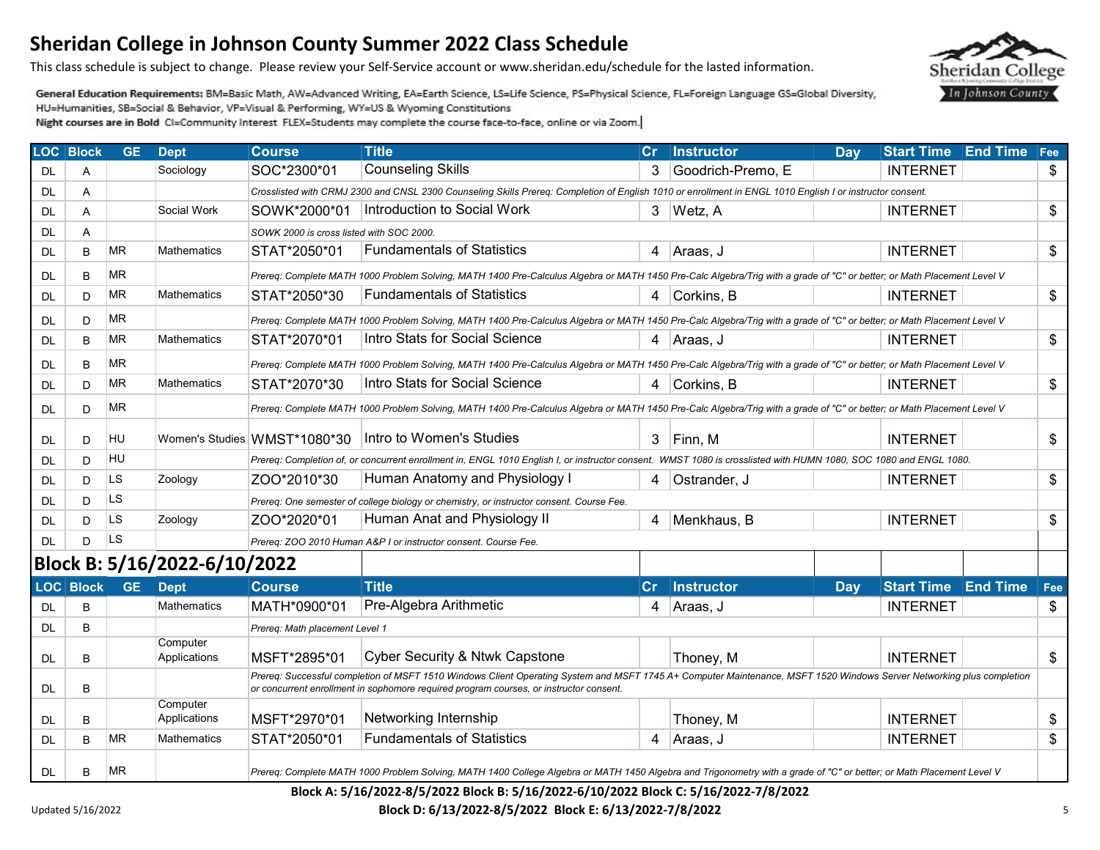This class schedule is subject to change. Please review your Self-Service account or www.sheridan.edu/schedule for the lasted information.

General Education Requirements: BM=Basic Math, AW=Advanced Writing, EA=Earth Science, LS=Life Science, PS=Physical Science, FL=Foreign Language GS=Global Diversity, HU=Humanities, SB=Social & Behavior, VP=Visual & Performing, WY=US & Wyoming Constitutions

|           | <b>LOC Block</b> | <b>GE</b> | <b>Dept</b>                  | <b>Course</b>                            | <b>Title</b>                                                                                                                                                           |                | Cr   Instructor   | Day | <b>Start Time</b>          | <b>End Time</b> | $ $ Fee |
|-----------|------------------|-----------|------------------------------|------------------------------------------|------------------------------------------------------------------------------------------------------------------------------------------------------------------------|----------------|-------------------|-----|----------------------------|-----------------|---------|
| DL        | A                |           | Sociology                    | SOC*2300*01                              | <b>Counseling Skills</b>                                                                                                                                               | 3              | Goodrich-Premo, E |     | <b>INTERNET</b>            |                 | \$      |
| <b>DL</b> | A                |           |                              |                                          | Crosslisted with CRMJ 2300 and CNSL 2300 Counseling Skills Prereq: Completion of English 1010 or enrollment in ENGL 1010 English I or instructor consent.              |                |                   |     |                            |                 |         |
| <b>DL</b> | A                |           | Social Work                  | SOWK*2000*01                             | Introduction to Social Work                                                                                                                                            | 3              | Wetz, A           |     | <b>INTERNET</b>            |                 | \$      |
| DL        | A                |           |                              | SOWK 2000 is cross listed with SOC 2000. |                                                                                                                                                                        |                |                   |     |                            |                 |         |
| DL.       | B                | ΜR        | <b>Mathematics</b>           | STAT*2050*01                             | <b>Fundamentals of Statistics</b>                                                                                                                                      | 4              | Araas, J          |     | <b>INTERNET</b>            |                 | \$      |
| DL.       | B                | ΜR        |                              |                                          | Prereq: Complete MATH 1000 Problem Solving, MATH 1400 Pre-Calculus Algebra or MATH 1450 Pre-Calc Algebra/Trig with a grade of "C" or better; or Math Placement Level V |                |                   |     |                            |                 |         |
| DL        | D                | MR.       | Mathematics                  | STAT*2050*30                             | <b>Fundamentals of Statistics</b>                                                                                                                                      | 4              | Corkins, B        |     | <b>INTERNET</b>            |                 | \$      |
| DL        | D                | ΜR        |                              |                                          | Prereq: Complete MATH 1000 Problem Solving, MATH 1400 Pre-Calculus Algebra or MATH 1450 Pre-Calc Algebra/Trig with a grade of "C" or better; or Math Placement Level V |                |                   |     |                            |                 |         |
| DL        | B                | <b>MR</b> | Mathematics                  | STAT*2070*01                             | Intro Stats for Social Science                                                                                                                                         | 4              | Araas, J          |     | <b>INTERNET</b>            |                 | \$      |
| DL        | B                | MR        |                              |                                          | Prereq: Complete MATH 1000 Problem Solving, MATH 1400 Pre-Calculus Algebra or MATH 1450 Pre-Calc Algebra/Trig with a grade of "C" or better; or Math Placement Level V |                |                   |     |                            |                 |         |
| DL        | D                | ΜR        | Mathematics                  | STAT*2070*30                             | Intro Stats for Social Science                                                                                                                                         | 4              | Corkins, B        |     | <b>INTERNET</b>            |                 | \$      |
| DL        | D                | <b>MR</b> |                              |                                          | Prereq: Complete MATH 1000 Problem Solving, MATH 1400 Pre-Calculus Algebra or MATH 1450 Pre-Calc Algebra/Trig with a grade of "C" or better; or Math Placement Level V |                |                   |     |                            |                 |         |
|           |                  |           |                              |                                          |                                                                                                                                                                        |                |                   |     |                            |                 |         |
| DL        | D                | HU        |                              | Women's Studies WMST*1080*30             | Intro to Women's Studies                                                                                                                                               | 3              | Finn, M           |     | <b>INTERNET</b>            |                 | \$      |
| DL        | D                | HU        |                              |                                          | Prereq: Completion of, or concurrent enrollment in, ENGL 1010 English I, or instructor consent. WMST 1080 is crosslisted with HUMN 1080, SOC 1080 and ENGL 1080.       |                |                   |     |                            |                 |         |
| DL        | D                | LS        | Zoology                      | ZOO*2010*30                              | Human Anatomy and Physiology I                                                                                                                                         | 4              | Ostrander, J      |     | <b>INTERNET</b>            |                 | \$      |
| <b>DL</b> | D                | LS        |                              |                                          | Prereq: One semester of college biology or chemistry, or instructor consent. Course Fee.                                                                               |                |                   |     |                            |                 |         |
| <b>DL</b> | D                | <b>LS</b> | Zoology                      | ZOO*2020*01                              | Human Anat and Physiology II                                                                                                                                           | 4              | Menkhaus, B       |     | <b>INTERNET</b>            |                 | \$      |
| <b>DL</b> | D                | LS        |                              |                                          | Prereq: ZOO 2010 Human A&P I or instructor consent. Course Fee.                                                                                                        |                |                   |     |                            |                 |         |
|           |                  |           | Block B: 5/16/2022-6/10/2022 |                                          |                                                                                                                                                                        |                |                   |     |                            |                 |         |
|           | LOC Block        | <b>GE</b> | <b>Dept</b>                  | <b>Course</b>                            | <b>Title</b>                                                                                                                                                           | $\mathbf{C}$ r | <b>Instructor</b> | Day | <b>Start Time End Time</b> |                 | Fee     |
| <b>DL</b> | B                |           | Mathematics                  | MATH*0900*01                             | Pre-Algebra Arithmetic                                                                                                                                                 | 4              | Araas, J          |     | <b>INTERNET</b>            |                 | \$      |
| DL        | B                |           |                              | Prereq: Math placement Level 1           |                                                                                                                                                                        |                |                   |     |                            |                 |         |
| DL.       | B                |           | Computer<br>Applications     | MSFT*2895*01                             | <b>Cyber Security &amp; Ntwk Capstone</b>                                                                                                                              |                | Thoney, M         |     | <b>INTERNET</b>            |                 | \$      |
|           |                  |           |                              |                                          | Prereq: Successful completion of MSFT 1510 Windows Client Operating System and MSFT 1745 A+ Computer Maintenance, MSFT 1520 Windows Server Networking plus completion  |                |                   |     |                            |                 |         |
| DL        | B                |           |                              |                                          | or concurrent enrollment in sophomore required program courses, or instructor consent.                                                                                 |                |                   |     |                            |                 |         |
| DL        | B                |           | Computer<br>Applications     | MSFT*2970*01                             | Networking Internship                                                                                                                                                  |                | Thoney, M         |     | <b>INTERNET</b>            |                 | \$      |
| DL        | B                | MR        | Mathematics                  | STAT*2050*01                             | <b>Fundamentals of Statistics</b>                                                                                                                                      | 4              | Araas, J          |     | <b>INTERNET</b>            |                 | \$      |
| DL        | B                | <b>MR</b> |                              |                                          | Prereq: Complete MATH 1000 Problem Solving, MATH 1400 College Algebra or MATH 1450 Algebra and Trigonometry with a grade of "C" or better; or Math Placement Level V   |                |                   |     |                            |                 |         |

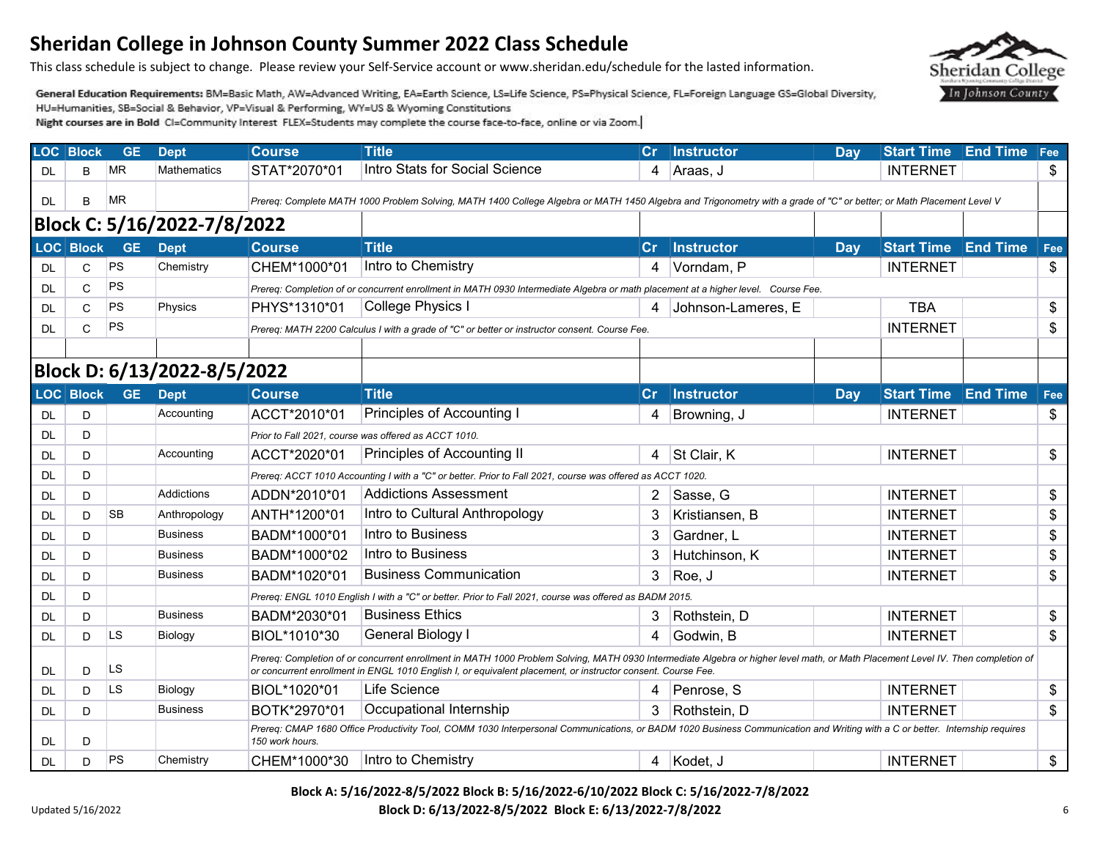This class schedule is subject to change. Please review your Self-Service account or www.sheridan.edu/schedule for the lasted information.

General Education Requirements: BM=Basic Math, AW=Advanced Writing, EA=Earth Science, LS=Life Science, PS=Physical Science, FL=Foreign Language GS=Global Diversity, HU=Humanities, SB=Social & Behavior, VP=Visual & Performing, WY=US & Wyoming Constitutions

Night courses are in Bold CI=Community Interest FLEX=Students may complete the course face-to-face, online or via Zoom.

|     | <b>LOC</b> Block | <b>GE</b> | <b>Dept</b>                 | <b>Course</b>   | <b>Title</b>                                                                                                                                                                                                                                                                                     | <b>Cr</b>      | Instructor         | Day | <b>Start Time</b>          | <b>End Time</b> | Fee |  |
|-----|------------------|-----------|-----------------------------|-----------------|--------------------------------------------------------------------------------------------------------------------------------------------------------------------------------------------------------------------------------------------------------------------------------------------------|----------------|--------------------|-----|----------------------------|-----------------|-----|--|
| DL  | B                | <b>MR</b> | <b>Mathematics</b>          | STAT*2070*01    | Intro Stats for Social Science                                                                                                                                                                                                                                                                   | 4              | Araas, J           |     | <b>INTERNET</b>            |                 | \$  |  |
| DL. | B                | <b>MR</b> |                             |                 | Prereq: Complete MATH 1000 Problem Solving, MATH 1400 College Algebra or MATH 1450 Algebra and Trigonometry with a grade of "C" or better; or Math Placement Level V                                                                                                                             |                |                    |     |                            |                 |     |  |
|     |                  |           | Block C: 5/16/2022-7/8/2022 |                 |                                                                                                                                                                                                                                                                                                  |                |                    |     |                            |                 |     |  |
|     | LOC Block        | <b>GE</b> | <b>Dept</b>                 | <b>Course</b>   | <b>Title</b>                                                                                                                                                                                                                                                                                     | $\mathsf{Cr}$  | Instructor         | Day | <b>Start Time End Time</b> |                 | Fee |  |
| DL  | C                | <b>PS</b> | Chemistry                   | CHEM*1000*01    | Intro to Chemistry                                                                                                                                                                                                                                                                               | 4              | Vorndam, P         |     | <b>INTERNET</b>            |                 | \$  |  |
| DL  | C                | <b>PS</b> |                             |                 | Prereg: Completion of or concurrent enrollment in MATH 0930 Intermediate Algebra or math placement at a higher level. Course Fee.                                                                                                                                                                |                |                    |     |                            |                 |     |  |
| DL  | C                | <b>PS</b> | Physics                     | PHYS*1310*01    | College Physics I                                                                                                                                                                                                                                                                                | 4              | Johnson-Lameres, E |     | <b>TBA</b>                 |                 | \$  |  |
| DL  | C                | <b>PS</b> |                             |                 | Prereq: MATH 2200 Calculus I with a grade of "C" or better or instructor consent. Course Fee.                                                                                                                                                                                                    |                |                    |     | <b>INTERNET</b>            |                 | \$  |  |
|     |                  |           |                             |                 |                                                                                                                                                                                                                                                                                                  |                |                    |     |                            |                 |     |  |
|     |                  |           | Block D: 6/13/2022-8/5/2022 |                 |                                                                                                                                                                                                                                                                                                  |                |                    |     |                            |                 |     |  |
|     | <b>LOC</b> Block | <b>GE</b> | <b>Dept</b>                 | <b>Course</b>   | <b>Title</b>                                                                                                                                                                                                                                                                                     |                | Cr Instructor      | Dav | <b>Start Time</b>          | <b>End Time</b> | Fee |  |
| DL  | D                |           | Accounting                  | ACCT*2010*01    | Principles of Accounting I                                                                                                                                                                                                                                                                       | 4              | Browning, J        |     | <b>INTERNET</b>            |                 | \$  |  |
| DL  | D                |           |                             |                 | Prior to Fall 2021, course was offered as ACCT 1010.                                                                                                                                                                                                                                             |                |                    |     |                            |                 |     |  |
| DL  | D                |           | Accounting                  | ACCT*2020*01    | Principles of Accounting II                                                                                                                                                                                                                                                                      | $\overline{4}$ | St Clair, K        |     | <b>INTERNET</b>            |                 | \$  |  |
| DL  | D                |           |                             |                 | Prereq: ACCT 1010 Accounting I with a "C" or better. Prior to Fall 2021, course was offered as ACCT 1020.                                                                                                                                                                                        |                |                    |     |                            |                 |     |  |
| DL  | D                |           | Addictions                  | ADDN*2010*01    | <b>Addictions Assessment</b>                                                                                                                                                                                                                                                                     | $\overline{2}$ | Sasse, G           |     | <b>INTERNET</b>            |                 | \$  |  |
| DL  | D                | <b>SB</b> | Anthropology                | ANTH*1200*01    | Intro to Cultural Anthropology                                                                                                                                                                                                                                                                   | 3              | Kristiansen, B     |     | <b>INTERNET</b>            |                 | \$  |  |
| DL  | D                |           | <b>Business</b>             | BADM*1000*01    | Intro to Business                                                                                                                                                                                                                                                                                | 3              | Gardner, L         |     | <b>INTERNET</b>            |                 | \$  |  |
| DL  | D                |           | <b>Business</b>             | BADM*1000*02    | Intro to Business                                                                                                                                                                                                                                                                                | 3              | Hutchinson, K      |     | <b>INTERNET</b>            |                 | \$  |  |
| DL  | D                |           | <b>Business</b>             | BADM*1020*01    | <b>Business Communication</b>                                                                                                                                                                                                                                                                    | 3              | Roe, J             |     | <b>INTERNET</b>            |                 | \$  |  |
| DL  | D                |           |                             |                 | Prereg: ENGL 1010 English I with a "C" or better. Prior to Fall 2021, course was offered as BADM 2015.                                                                                                                                                                                           |                |                    |     |                            |                 |     |  |
| DL  | D                |           | <b>Business</b>             | BADM*2030*01    | <b>Business Ethics</b>                                                                                                                                                                                                                                                                           | 3.             | Rothstein, D       |     | <b>INTERNET</b>            |                 | \$  |  |
| DL  | D                | LS        | Biology                     | BIOL*1010*30    | General Biology I                                                                                                                                                                                                                                                                                | 4              | Godwin, B          |     | <b>INTERNET</b>            |                 | \$  |  |
| DL  | D                | LS        |                             |                 | Prereg: Completion of or concurrent enrollment in MATH 1000 Problem Solving, MATH 0930 Intermediate Algebra or higher level math, or Math Placement Level IV. Then completion of<br>or concurrent enrollment in ENGL 1010 English I, or equivalent placement, or instructor consent. Course Fee. |                |                    |     |                            |                 |     |  |
| DL  | D                | LS        | Biology                     | BIOL*1020*01    | Life Science                                                                                                                                                                                                                                                                                     | 4              | Penrose, S         |     | <b>INTERNET</b>            |                 | \$  |  |
| DL  | D                |           | <b>Business</b>             | BOTK*2970*01    | Occupational Internship                                                                                                                                                                                                                                                                          | 3              | Rothstein, D       |     | <b>INTERNET</b>            |                 | \$  |  |
| DL  | D                |           |                             | 150 work hours. | Prereq: CMAP 1680 Office Productivity Tool, COMM 1030 Interpersonal Communications, or BADM 1020 Business Communication and Writing with a C or better. Internship requires                                                                                                                      |                |                    |     |                            |                 |     |  |
| DL  | D                | <b>PS</b> | Chemistry                   | CHEM*1000*30    | Intro to Chemistry                                                                                                                                                                                                                                                                               | 4              | Kodet, J           |     | <b>INTERNET</b>            |                 | \$  |  |

**Block A: 5/16/2022-8/5/2022 Block B: 5/16/2022-6/10/2022 Block C: 5/16/2022-7/8/2022 Block D: 6/13/2022-8/5/2022 Block E: 6/13/2022-7/8/2022** 6

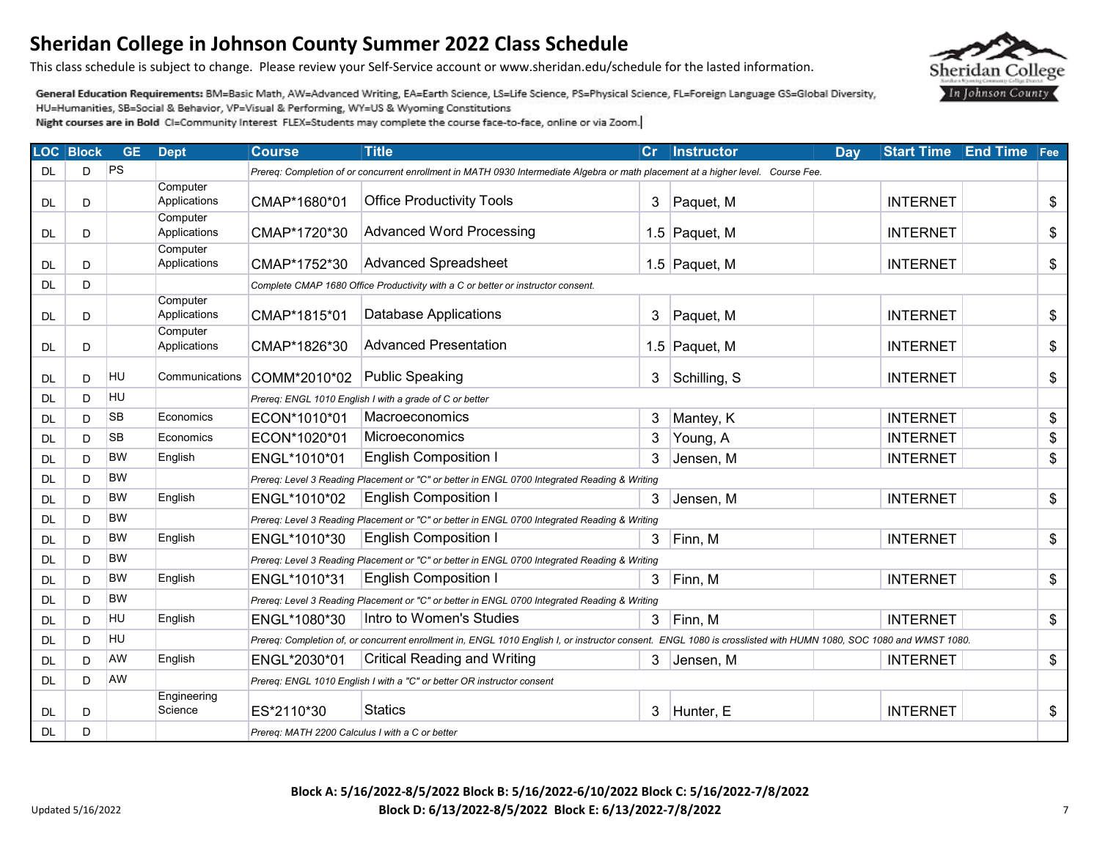This class schedule is subject to change. Please review your Self-Service account or www.sheridan.edu/schedule for the lasted information.

General Education Requirements: BM=Basic Math, AW=Advanced Writing, EA=Earth Science, LS=Life Science, PS=Physical Science, FL=Foreign Language GS=Global Diversity, HU=Humanities, SB=Social & Behavior, VP=Visual & Performing, WY=US & Wyoming Constitutions

| <b>LOC Block</b> |    | <b>GE</b> | <b>Dept</b>              | <b>Course</b>                                                          | <b>Title</b>                                                                                                                                                     | Cr             | Instructor    | Dav | <b>Start Time</b> | <b>End Time</b> Fee |    |  |  |
|------------------|----|-----------|--------------------------|------------------------------------------------------------------------|------------------------------------------------------------------------------------------------------------------------------------------------------------------|----------------|---------------|-----|-------------------|---------------------|----|--|--|
| <b>DL</b>        | D  | PS        |                          |                                                                        | Prereq: Completion of or concurrent enrollment in MATH 0930 Intermediate Algebra or math placement at a higher level. Course Fee.                                |                |               |     |                   |                     |    |  |  |
| <b>DL</b>        | D  |           | Computer<br>Applications | CMAP*1680*01                                                           | <b>Office Productivity Tools</b>                                                                                                                                 | 3              | Paquet, M     |     | <b>INTERNET</b>   |                     | \$ |  |  |
| DL.              | D  |           | Computer<br>Applications | CMAP*1720*30                                                           | <b>Advanced Word Processing</b>                                                                                                                                  |                | 1.5 Paquet, M |     | <b>INTERNET</b>   |                     | \$ |  |  |
| <b>DL</b>        | D  |           | Computer<br>Applications | CMAP*1752*30                                                           | <b>Advanced Spreadsheet</b>                                                                                                                                      |                | 1.5 Paquet, M |     | <b>INTERNET</b>   |                     | \$ |  |  |
| <b>DL</b>        | D  |           |                          |                                                                        | Complete CMAP 1680 Office Productivity with a C or better or instructor consent.                                                                                 |                |               |     |                   |                     |    |  |  |
| DL.              | D  |           | Computer<br>Applications | CMAP*1815*01                                                           | <b>Database Applications</b>                                                                                                                                     | 3              | Paquet, M     |     | <b>INTERNET</b>   |                     | \$ |  |  |
| DL.              | D  |           | Computer<br>Applications | CMAP*1826*30                                                           | <b>Advanced Presentation</b>                                                                                                                                     |                | 1.5 Paquet, M |     | <b>INTERNET</b>   |                     | \$ |  |  |
| DL.              | D. | <b>HU</b> | Communications           | COMM*2010*02                                                           | <b>Public Speaking</b>                                                                                                                                           | 3              | Schilling, S  |     | <b>INTERNET</b>   |                     | \$ |  |  |
| DL               | D  | HU        |                          |                                                                        | Prereq: ENGL 1010 English I with a grade of C or better                                                                                                          |                |               |     |                   |                     |    |  |  |
| DL               | D. | <b>SB</b> | Economics                | ECON*1010*01                                                           | Macroeconomics                                                                                                                                                   | 3              | Mantey, K     |     | <b>INTERNET</b>   |                     | \$ |  |  |
| DL               | D. | <b>SB</b> | Economics                | ECON*1020*01                                                           | Microeconomics                                                                                                                                                   | 3              | Young, A      |     | <b>INTERNET</b>   |                     | \$ |  |  |
| DL               | D. | <b>BW</b> | English                  | ENGL*1010*01                                                           | <b>English Composition I</b>                                                                                                                                     | 3              | Jensen, M     |     | <b>INTERNET</b>   |                     | \$ |  |  |
| DL.              | D  | <b>BW</b> |                          |                                                                        | Prereq: Level 3 Reading Placement or "C" or better in ENGL 0700 Integrated Reading & Writing                                                                     |                |               |     |                   |                     |    |  |  |
| DL               | D. | <b>BW</b> | English                  | ENGL*1010*02                                                           | <b>English Composition I</b>                                                                                                                                     | 3              | Jensen, M     |     | <b>INTERNET</b>   |                     | \$ |  |  |
| DL.              | D. | <b>BW</b> |                          |                                                                        | Prereq: Level 3 Reading Placement or "C" or better in ENGL 0700 Integrated Reading & Writing                                                                     |                |               |     |                   |                     |    |  |  |
| DL.              | D. | <b>BW</b> | English                  | ENGL*1010*30                                                           | <b>English Composition I</b>                                                                                                                                     | 3              | Finn, M       |     | <b>INTERNET</b>   |                     | \$ |  |  |
| DL.              | D  | <b>BW</b> |                          |                                                                        | Prereq: Level 3 Reading Placement or "C" or better in ENGL 0700 Integrated Reading & Writing                                                                     |                |               |     |                   |                     |    |  |  |
| DL.              | D. | <b>BW</b> | English                  | ENGL*1010*31                                                           | <b>English Composition I</b>                                                                                                                                     | 3              | Finn, M       |     | <b>INTERNET</b>   |                     | \$ |  |  |
| DL.              | D  | <b>BW</b> |                          |                                                                        | Prereq: Level 3 Reading Placement or "C" or better in ENGL 0700 Integrated Reading & Writing                                                                     |                |               |     |                   |                     |    |  |  |
| DL.              | D  | <b>HU</b> | English                  | ENGL*1080*30                                                           | Intro to Women's Studies                                                                                                                                         | 3              | Finn, M       |     | <b>INTERNET</b>   |                     | \$ |  |  |
| DL.              | D  | <b>HU</b> |                          |                                                                        | Prereq: Completion of, or concurrent enrollment in, ENGL 1010 English I, or instructor consent. ENGL 1080 is crosslisted with HUMN 1080, SOC 1080 and WMST 1080. |                |               |     |                   |                     |    |  |  |
| DL               | D  | AW        | English                  | ENGL*2030*01                                                           | <b>Critical Reading and Writing</b>                                                                                                                              | 3              | Jensen. M     |     | <b>INTERNET</b>   |                     | \$ |  |  |
| DL.              | D  | AW        |                          | Prereq: ENGL 1010 English I with a "C" or better OR instructor consent |                                                                                                                                                                  |                |               |     |                   |                     |    |  |  |
| <b>DL</b>        | D  |           | Engineering<br>Science   | ES*2110*30                                                             | <b>Statics</b>                                                                                                                                                   | 3 <sup>1</sup> | Hunter, E     |     | <b>INTERNET</b>   |                     | \$ |  |  |
| <b>DL</b>        | D  |           |                          | Prereq: MATH 2200 Calculus I with a C or better                        |                                                                                                                                                                  |                |               |     |                   |                     |    |  |  |

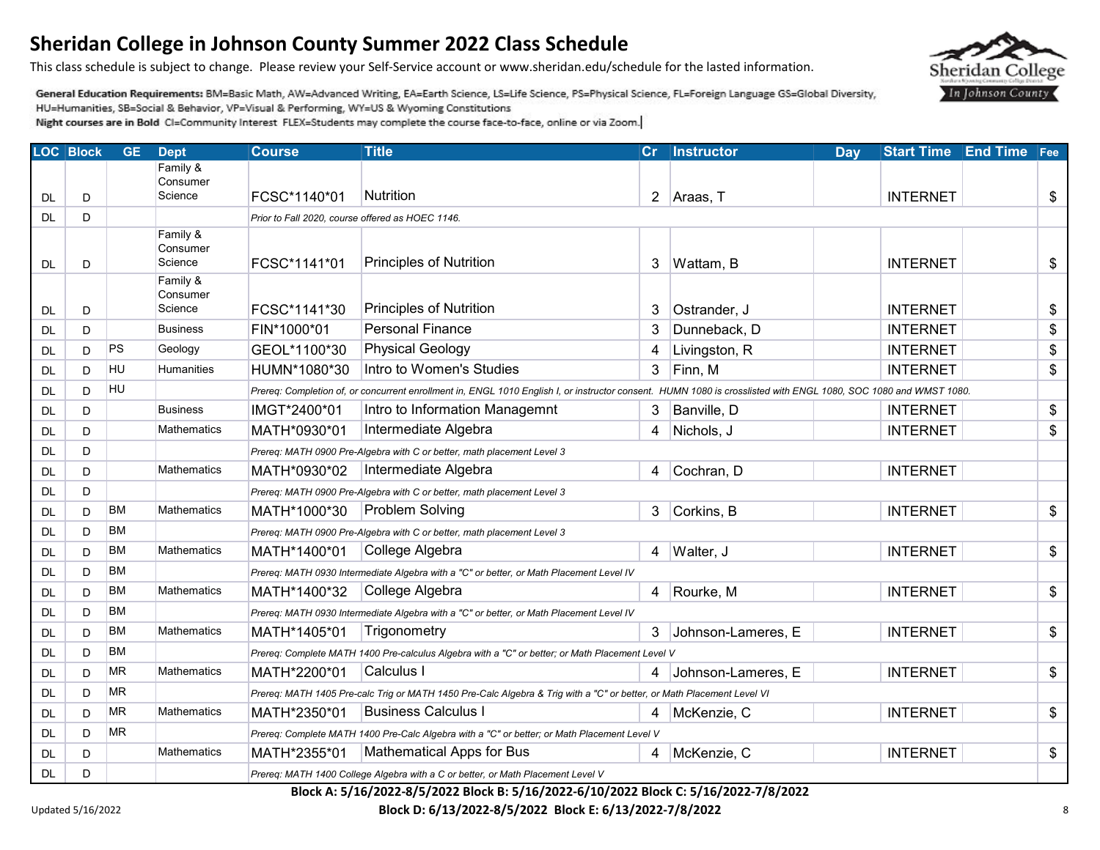This class schedule is subject to change. Please review your Self-Service account or www.sheridan.edu/schedule for the lasted information.

General Education Requirements: BM=Basic Math, AW=Advanced Writing, EA=Earth Science, LS=Life Science, PS=Physical Science, FL=Foreign Language GS=Global Diversity, HU=Humanities, SB=Social & Behavior, VP=Visual & Performing, WY=US & Wyoming Constitutions

Night courses are in Bold CI=Community Interest FLEX=Students may complete the course face-to-face, online or via Zoom.

|           | <b>LOC Block</b> | <b>GE</b> | <b>Dept</b>          | <b>Course</b>                                    | <b>Title</b>                                                                                                                                                     | Cr           | Instructor         | Day | <b>Start Time</b> | <b>End Time</b> | $ $ Fee                                   |
|-----------|------------------|-----------|----------------------|--------------------------------------------------|------------------------------------------------------------------------------------------------------------------------------------------------------------------|--------------|--------------------|-----|-------------------|-----------------|-------------------------------------------|
|           |                  |           | Family &<br>Consumer |                                                  |                                                                                                                                                                  |              |                    |     |                   |                 |                                           |
| <b>DL</b> | D                |           | Science              | FCSC*1140*01                                     | Nutrition                                                                                                                                                        | $\mathbf{2}$ | Araas, T           |     | <b>INTERNET</b>   |                 | \$                                        |
| DL        | D                |           |                      | Prior to Fall 2020, course offered as HOEC 1146. |                                                                                                                                                                  |              |                    |     |                   |                 |                                           |
|           |                  |           | Family &             |                                                  |                                                                                                                                                                  |              |                    |     |                   |                 |                                           |
| DL        | D                |           | Consumer<br>Science  | FCSC*1141*01                                     | <b>Principles of Nutrition</b>                                                                                                                                   | 3            | Wattam, B          |     | <b>INTERNET</b>   |                 | \$                                        |
|           |                  |           | Family &             |                                                  |                                                                                                                                                                  |              |                    |     |                   |                 |                                           |
|           |                  |           | Consumer             |                                                  |                                                                                                                                                                  |              |                    |     |                   |                 |                                           |
| DL        | D                |           | Science              | FCSC*1141*30                                     | Principles of Nutrition                                                                                                                                          | 3            | Ostrander, J       |     | <b>INTERNET</b>   |                 | \$                                        |
| <b>DL</b> | D                |           | <b>Business</b>      | FIN*1000*01                                      | <b>Personal Finance</b>                                                                                                                                          | 3            | Dunneback, D       |     | <b>INTERNET</b>   |                 | \$                                        |
| <b>DL</b> | D                | PS        | Geology              | GEOL*1100*30                                     | <b>Physical Geology</b>                                                                                                                                          | 4            | Livingston, R      |     | <b>INTERNET</b>   |                 | $\, \, \raisebox{12pt}{$\scriptstyle \$}$ |
| <b>DL</b> | D                | HU        | Humanities           | HUMN*1080*30                                     | Intro to Women's Studies                                                                                                                                         | 3            | Finn, M            |     | <b>INTERNET</b>   |                 | \$                                        |
| <b>DL</b> | D                | HU        |                      |                                                  | Prereq: Completion of, or concurrent enrollment in, ENGL 1010 English I, or instructor consent. HUMN 1080 is crosslisted with ENGL 1080, SOC 1080 and WMST 1080. |              |                    |     |                   |                 |                                           |
| <b>DL</b> | D                |           | <b>Business</b>      | IMGT*2400*01                                     | Intro to Information Managemnt                                                                                                                                   | 3            | Banville, D        |     | <b>INTERNET</b>   |                 | \$                                        |
| <b>DL</b> | D                |           | <b>Mathematics</b>   | MATH*0930*01                                     | Intermediate Algebra                                                                                                                                             | 4            | Nichols, J         |     | <b>INTERNET</b>   |                 | \$                                        |
| DL        | D                |           |                      |                                                  | Prereq: MATH 0900 Pre-Algebra with C or better, math placement Level 3                                                                                           |              |                    |     |                   |                 |                                           |
| <b>DL</b> | D                |           | Mathematics          | MATH*0930*02                                     | Intermediate Algebra                                                                                                                                             | 4            | Cochran, D         |     | <b>INTERNET</b>   |                 |                                           |
| <b>DL</b> | D                |           |                      |                                                  | Prereq: MATH 0900 Pre-Algebra with C or better, math placement Level 3                                                                                           |              |                    |     |                   |                 |                                           |
| DL        | D                | <b>BM</b> | <b>Mathematics</b>   | MATH*1000*30                                     | <b>Problem Solving</b>                                                                                                                                           | 3            | Corkins, B         |     | <b>INTERNET</b>   |                 | \$                                        |
| <b>DL</b> | D                | <b>BM</b> |                      |                                                  | Prereq: MATH 0900 Pre-Algebra with C or better, math placement Level 3                                                                                           |              |                    |     |                   |                 |                                           |
| <b>DL</b> | D                | <b>BM</b> | <b>Mathematics</b>   | MATH*1400*01                                     | College Algebra                                                                                                                                                  | 4            | Walter, J          |     | <b>INTERNET</b>   |                 | \$                                        |
| <b>DL</b> | D                | <b>BM</b> |                      |                                                  | Prereq: MATH 0930 Intermediate Algebra with a "C" or better, or Math Placement Level IV                                                                          |              |                    |     |                   |                 |                                           |
| <b>DL</b> | D                | <b>BM</b> | <b>Mathematics</b>   | MATH*1400*32                                     | College Algebra                                                                                                                                                  | 4            | Rourke, M          |     | <b>INTERNET</b>   |                 | \$                                        |
| <b>DL</b> | D                | <b>BM</b> |                      |                                                  | Prereq: MATH 0930 Intermediate Algebra with a "C" or better, or Math Placement Level IV                                                                          |              |                    |     |                   |                 |                                           |
| <b>DL</b> | D                | <b>BM</b> | <b>Mathematics</b>   | MATH*1405*01                                     | Trigonometry                                                                                                                                                     | 3            | Johnson-Lameres, E |     | <b>INTERNET</b>   |                 | \$                                        |
| <b>DL</b> | D                | <b>BM</b> |                      |                                                  | Prereq: Complete MATH 1400 Pre-calculus Algebra with a "C" or better; or Math Placement Level V                                                                  |              |                    |     |                   |                 |                                           |
| DL        | D                | <b>MR</b> | <b>Mathematics</b>   | MATH*2200*01                                     | Calculus I                                                                                                                                                       | 4            | Johnson-Lameres, E |     | <b>INTERNET</b>   |                 | \$                                        |
| <b>DL</b> | D                | <b>MR</b> |                      |                                                  | Prereq: MATH 1405 Pre-calc Trig or MATH 1450 Pre-Calc Algebra & Trig with a "C" or better, or Math Placement Level VI                                            |              |                    |     |                   |                 |                                           |
| <b>DL</b> | D                | <b>MR</b> | <b>Mathematics</b>   | MATH*2350*01                                     | <b>Business Calculus I</b>                                                                                                                                       |              | McKenzie, C        |     | <b>INTERNET</b>   |                 | \$                                        |
| <b>DL</b> | D                | <b>MR</b> |                      |                                                  | Prereq: Complete MATH 1400 Pre-Calc Algebra with a "C" or better; or Math Placement Level V                                                                      |              |                    |     |                   |                 |                                           |
| DL        | D                |           | Mathematics          | MATH*2355*01                                     | Mathematical Apps for Bus                                                                                                                                        | 4            | McKenzie, C        |     | <b>INTERNET</b>   |                 | \$                                        |
| DL        | D                |           |                      |                                                  | Prereq: MATH 1400 College Algebra with a C or better, or Math Placement Level V                                                                                  |              |                    |     |                   |                 |                                           |